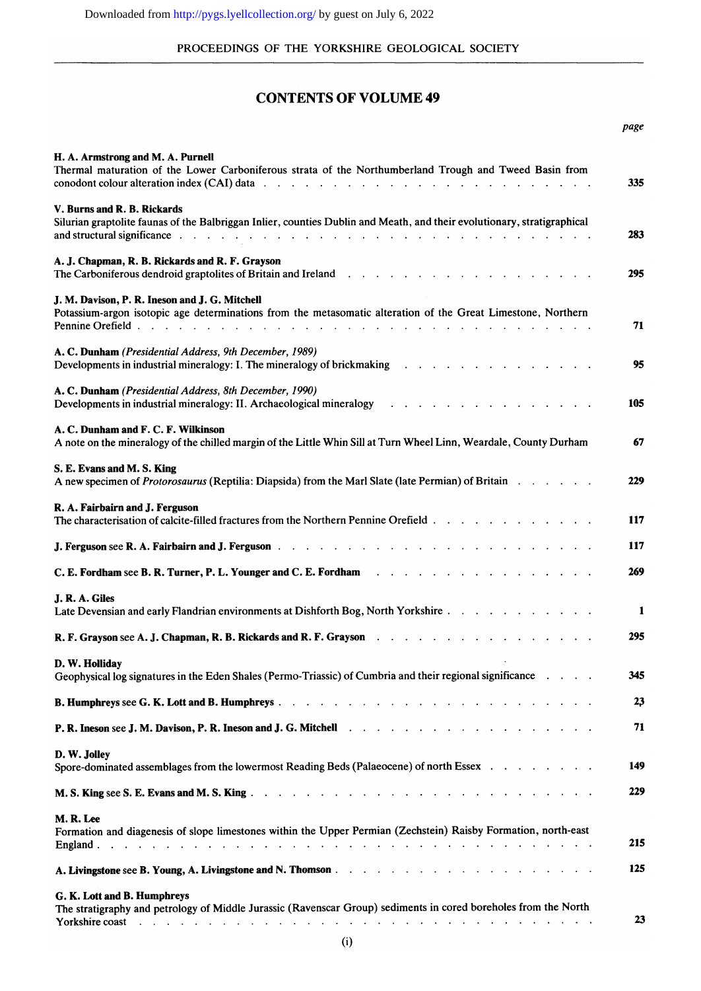#### PROCEEDINGS OF THE YORKSHIRE GEOLOGICAL SOCIETY

### **CONTENTS OF VOLUME 49**

|                                                                                                                                                                                                                                                                             | page |
|-----------------------------------------------------------------------------------------------------------------------------------------------------------------------------------------------------------------------------------------------------------------------------|------|
| H. A. Armstrong and M. A. Purnell<br>Thermal maturation of the Lower Carboniferous strata of the Northumberland Trough and Tweed Basin from<br>conodont colour alteration index (CAI) data $\cdots$ $\cdots$ $\cdots$ $\cdots$ $\cdots$ $\cdots$ $\cdots$ $\cdots$ $\cdots$ | 335  |
| V. Burns and R. B. Rickards<br>Silurian graptolite faunas of the Balbriggan Inlier, counties Dublin and Meath, and their evolutionary, stratigraphical<br>and structural significance .                                                                                     | 283  |
| A. J. Chapman, R. B. Rickards and R. F. Grayson                                                                                                                                                                                                                             | 295  |
| J. M. Davison, P. R. Ineson and J. G. Mitchell<br>Potassium-argon isotopic age determinations from the metasomatic alteration of the Great Limestone, Northern                                                                                                              | 71   |
| A. C. Dunham (Presidential Address, 9th December, 1989)<br>Developments in industrial mineralogy: I. The mineralogy of brickmaking resources in the case of the control of                                                                                                  | 95   |
| A. C. Dunham (Presidential Address, 8th December, 1990)<br>Developments in industrial mineralogy: II. Archaeological mineralogy<br><u>.</u>                                                                                                                                 | 105  |
| A. C. Dunham and F. C. F. Wilkinson<br>A note on the mineralogy of the chilled margin of the Little Whin Sill at Turn Wheel Linn, Weardale, County Durham                                                                                                                   | 67   |
| S. E. Evans and M. S. King<br>A new specimen of Protorosaurus (Reptilia: Diapsida) from the Marl Slate (late Permian) of Britain                                                                                                                                            | 229  |
| R. A. Fairbairn and J. Ferguson<br>The characterisation of calcite-filled fractures from the Northern Pennine Orefield                                                                                                                                                      | 117  |
| <b>J. Ferguson see R. A. Fairbairn and J. Ferguson</b>                                                                                                                                                                                                                      | 117  |
| C. E. Fordham see B. R. Turner, P. L. Younger and C. E. Fordham<br>the contract of the contract of the contract of the contract of the contract of the contract of the contract of                                                                                          | 269  |
| J. R. A. Giles<br>Late Devensian and early Flandrian environments at Dishforth Bog, North Yorkshire                                                                                                                                                                         | 1    |
|                                                                                                                                                                                                                                                                             | 295  |
| D. W. Holliday<br>Geophysical log signatures in the Eden Shales (Permo-Triassic) of Cumbria and their regional significance                                                                                                                                                 | 345  |
|                                                                                                                                                                                                                                                                             | 23   |
|                                                                                                                                                                                                                                                                             | 71   |
| D. W. Jolley<br>Spore-dominated assemblages from the lowermost Reading Beds (Palaeocene) of north Essex                                                                                                                                                                     | 149  |
|                                                                                                                                                                                                                                                                             | 229  |
| M.R.Lee<br>Formation and diagenesis of slope limestones within the Upper Permian (Zechstein) Raisby Formation, north-east                                                                                                                                                   | 215  |
|                                                                                                                                                                                                                                                                             | 125  |
| G. K. Lott and B. Humphreys                                                                                                                                                                                                                                                 |      |
| The stratigraphy and petrology of Middle Jurassic (Ravenscar Group) sediments in cored boreholes from the North<br>فالمتحالة والمتحالة والمتحالة والمتحالة والمتحالة والمتحالة والمتحالة والمتحالة والمتحالة والمتحالة والمتحالة<br>Yorkshire coast                         | 23   |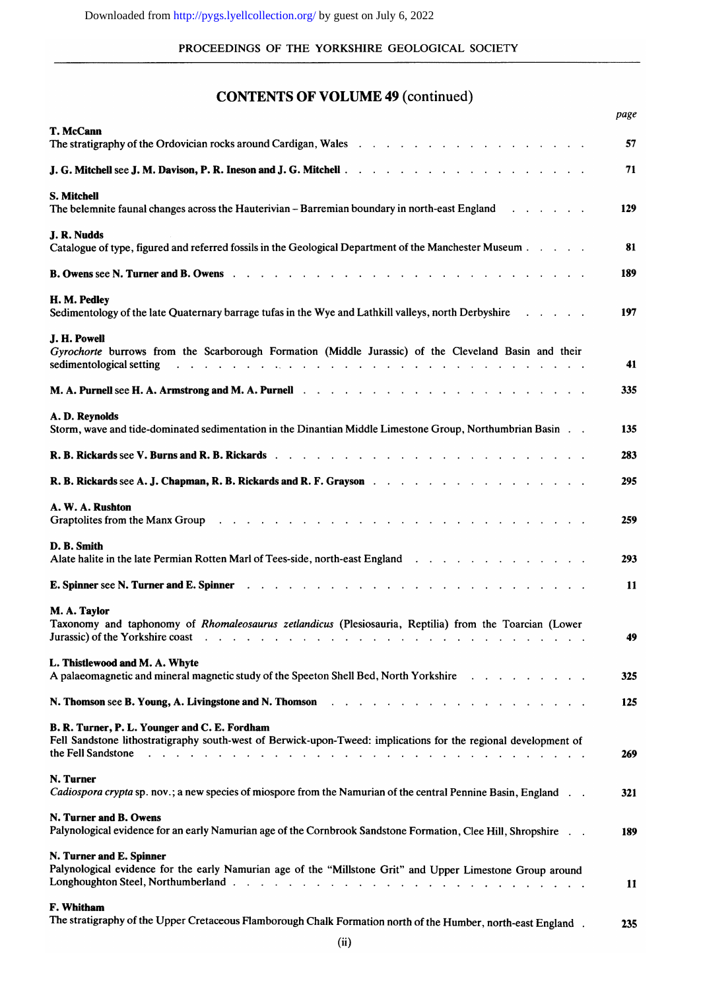#### PROCEEDINGS OF THE YORKSHIRE GEOLOGICAL SOCIETY

# **CONTENTS OF VOLUME 49 (continued)**

|                                                                                                                                                                                                                                                                                                                                                          | page |
|----------------------------------------------------------------------------------------------------------------------------------------------------------------------------------------------------------------------------------------------------------------------------------------------------------------------------------------------------------|------|
| T. McCann                                                                                                                                                                                                                                                                                                                                                | 57   |
| J. G. Mitchell see J. M. Davison, P. R. Ineson and J. G. Mitchell                                                                                                                                                                                                                                                                                        | 71   |
| <b>S. Mitchell</b><br>The belemnite faunal changes across the Hauterivian - Barremian boundary in north-east England<br>$\mathbf{r}$ , $\mathbf{r}$ , $\mathbf{r}$ , $\mathbf{r}$ , $\mathbf{r}$ , $\mathbf{r}$                                                                                                                                          | 129  |
| J. R. Nudds<br>Catalogue of type, figured and referred fossils in the Geological Department of the Manchester Museum                                                                                                                                                                                                                                     | 81   |
| <b>B. Owens see N. Turner and B. Owens</b>                                                                                                                                                                                                                                                                                                               | 189  |
| H. M. Pedley<br>Sedimentology of the late Quaternary barrage tufas in the Wye and Lathkill valleys, north Derbyshire<br>and the contract of the con-                                                                                                                                                                                                     | 197  |
| J. H. Powell<br>Gyrochorte burrows from the Scarborough Formation (Middle Jurassic) of the Cleveland Basin and their<br>sedimentological setting<br>the contract of the contract of the contract of the contract of the contract of the contract of the contract of                                                                                      | 41   |
| M. A. Purnell see H. A. Armstrong and M. A. Purnell discussed and the contract of the contract of the contract of the contract of the contract of the contract of the contract of the contract of the contract of the contract                                                                                                                           | 335  |
| A. D. Reynolds<br>Storm, wave and tide-dominated sedimentation in the Dinantian Middle Limestone Group, Northumbrian Basin                                                                                                                                                                                                                               | 135  |
|                                                                                                                                                                                                                                                                                                                                                          | 283  |
| R. B. Rickards see A. J. Chapman, R. B. Rickards and R. F. Grayson                                                                                                                                                                                                                                                                                       | 295  |
| A. W. A. Rushton<br>Graptolites from the Manx Group enterprise to the content of the Manx Group enterprise to the content of the Manx Group                                                                                                                                                                                                              | 259  |
| D. B. Smith<br>Alate halite in the late Permian Rotten Marl of Tees-side, north-east England                                                                                                                                                                                                                                                             | 293  |
| E. Spinner see N. Turner and E. Spinner<br><b>Contract Contract</b><br>the contract of the contract of the contract of the contract of the contract of the contract of the contract of                                                                                                                                                                   | 11   |
| M. A. Taylor<br>Taxonomy and taphonomy of Rhomaleosaurus zetlandicus (Plesiosauria, Reptilia) from the Toarcian (Lower<br>Jurassic) of the Yorkshire coast (e) and (e) and (e) and (e) and (e) and (e) and (e) and (e) and (e) and (e) and (e) and (e) and (e) and (e) and (e) and (e) and (e) and (e) and (e) and (e) and (e) and (e) and (e) and (e) a | 49   |
| L. Thistlewood and M. A. Whyte<br>A palaeomagnetic and mineral magnetic study of the Speeton Shell Bed, North Yorkshire                                                                                                                                                                                                                                  | 325  |
| N. Thomson see B. Young, A. Livingstone and N. Thomson readers and reading the set of the set of the set of the                                                                                                                                                                                                                                          | 125  |
| B. R. Turner, P. L. Younger and C. E. Fordham<br>Fell Sandstone lithostratigraphy south-west of Berwick-upon-Tweed: implications for the regional development of<br>the Fell Sandstone<br>de la casa de la casa de la casa de la casa de la casa de la casa de la casa de la casa de la casa de la casa                                                  | 269  |
| N. Turner<br>Cadiospora crypta sp. nov.; a new species of miospore from the Namurian of the central Pennine Basin, England.                                                                                                                                                                                                                              | 321  |
| N. Turner and B. Owens<br>Palynological evidence for an early Namurian age of the Cornbrook Sandstone Formation, Clee Hill, Shropshire                                                                                                                                                                                                                   | 189  |
| N. Turner and E. Spinner<br>Palynological evidence for the early Namurian age of the "Millstone Grit" and Upper Limestone Group around                                                                                                                                                                                                                   | 11   |
| F. Whitham<br>The stratigraphy of the Upper Cretaceous Flamborough Chalk Formation north of the Humber, north-east England.                                                                                                                                                                                                                              | 235  |